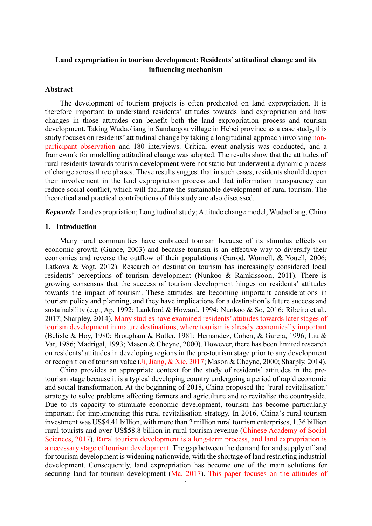# **Land expropriation in tourism development: Residents' attitudinal change and its influencing mechanism**

#### **Abstract**

The development of tourism projects is often predicated on land expropriation. It is therefore important to understand residents' attitudes towards land expropriation and how changes in those attitudes can benefit both the land expropriation process and tourism development. Taking Wudaoliang in Sandaogou village in Hebei province as a case study, this study focuses on residents' attitudinal change by taking a longitudinal approach involving nonparticipant observation and 180 interviews. Critical event analysis was conducted, and a framework for modelling attitudinal change was adopted. The results show that the attitudes of rural residents towards tourism development were not static but underwent a dynamic process of change across three phases. These results suggest that in such cases, residents should deepen their involvement in the land expropriation process and that information transparency can reduce social conflict, which will facilitate the sustainable development of rural tourism. The theoretical and practical contributions of this study are also discussed.

*Keywords*: Land expropriation; Longitudinal study; Attitude change model; Wudaoliang, China

#### **1. Introduction**

Many rural communities have embraced tourism because of its stimulus effects on economic growth (Gunce, 2003) and because tourism is an effective way to diversify their economies and reverse the outflow of their populations (Garrod, Wornell, & Youell, 2006; Latkova & Vogt, 2012). Research on destination tourism has increasingly considered local residents' perceptions of tourism development (Nunkoo & Ramkissoon, 2011). There is growing consensus that the success of tourism development hinges on residents' attitudes towards the impact of tourism. These attitudes are becoming important considerations in tourism policy and planning, and they have implications for a destination's future success and sustainability (e.g., Ap, 1992; Lankford & Howard, 1994; Nunkoo & So, 2016; Ribeiro et al., 2017; Sharpley, 2014). Many studies have examined residents' attitudes towards later stages of tourism development in mature destinations, where tourism is already economically important (Belisle & Hoy, 1980; Brougham & Butler, 1981; Hernandez, Cohen, & Garcia, 1996; Liu & Var, 1986; Madrigal, 1993; Mason & Cheyne, 2000). However, there has been limited research on residents' attitudes in developing regions in the pre-tourism stage prior to any development or recognition of tourism value (Ji, Jiang, & Xie, 2017; Mason & Cheyne, 2000; Sharply, 2014).

China provides an appropriate context for the study of residents' attitudes in the pretourism stage because it is a typical developing country undergoing a period of rapid economic and social transformation. At the beginning of 2018, China proposed the 'rural revitalisation' strategy to solve problems affecting farmers and agriculture and to revitalise the countryside. Due to its capacity to stimulate economic development, tourism has become particularly important for implementing this rural revitalisation strategy. In 2016, China's rural tourism investment was US\$4.41 billion, with more than 2 million rural tourism enterprises, 1.36 billion rural tourists and over US\$58.8 billion in rural tourism revenue (Chinese Academy of Social Sciences, 2017). Rural tourism development is a long-term process, and land expropriation is a necessary stage of tourism development. The gap between the demand for and supply of land for tourism development is widening nationwide, with the shortage of land restricting industrial development. Consequently, land expropriation has become one of the main solutions for securing land for tourism development (Ma, 2017). This paper focuses on the attitudes of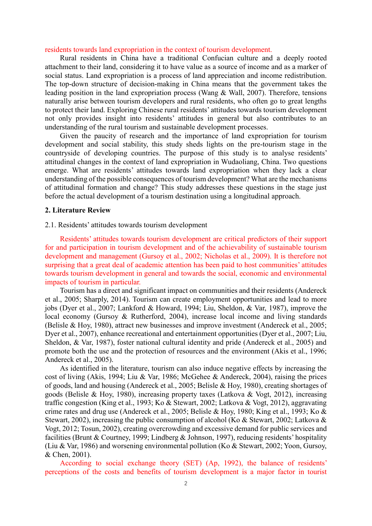## residents towards land expropriation in the context of tourism development.

Rural residents in China have a traditional Confucian culture and a deeply rooted attachment to their land, considering it to have value as a source of income and as a marker of social status. Land expropriation is a process of land appreciation and income redistribution. The top-down structure of decision-making in China means that the government takes the leading position in the land expropriation process (Wang & Wall, 2007). Therefore, tensions naturally arise between tourism developers and rural residents, who often go to great lengths to protect their land. Exploring Chinese rural residents' attitudes towards tourism development not only provides insight into residents' attitudes in general but also contributes to an understanding of the rural tourism and sustainable development processes.

Given the paucity of research and the importance of land expropriation for tourism development and social stability, this study sheds lights on the pre-tourism stage in the countryside of developing countries. The purpose of this study is to analyse residents' attitudinal changes in the context of land expropriation in Wudaoliang, China. Two questions emerge. What are residents' attitudes towards land expropriation when they lack a clear understanding of the possible consequences of tourism development? What are the mechanisms of attitudinal formation and change? This study addresses these questions in the stage just before the actual development of a tourism destination using a longitudinal approach.

#### **2. Literature Review**

#### 2.1. Residents' attitudes towards tourism development

Residents' attitudes towards tourism development are critical predictors of their support for and participation in tourism development and of the achievability of sustainable tourism development and management (Gursoy et al., 2002; Nicholas et al., 2009). It is therefore not surprising that a great deal of academic attention has been paid to host communities' attitudes towards tourism development in general and towards the social, economic and environmental impacts of tourism in particular.

Tourism has a direct and significant impact on communities and their residents (Andereck et al., 2005; Sharply, 2014). Tourism can create employment opportunities and lead to more jobs (Dyer et al., 2007; Lankford & Howard, 1994; Liu, Sheldon, & Var, 1987), improve the local economy (Gursoy & Rutherford, 2004), increase local income and living standards (Belisle & Hoy, 1980), attract new businesses and improve investment (Andereck et al., 2005; Dyer et al., 2007), enhance recreational and entertainment opportunities (Dyer et al., 2007; Liu, Sheldon, & Var, 1987), foster national cultural identity and pride (Andereck et al., 2005) and promote both the use and the protection of resources and the environment (Akis et al., 1996; Andereck et al., 2005).

As identified in the literature, tourism can also induce negative effects by increasing the cost of living (Akis, 1994; Liu & Var, 1986; McGehee & Andereck, 2004), raising the prices of goods, land and housing (Andereck et al., 2005; Belisle & Hoy, 1980), creating shortages of goods (Belisle & Hoy, 1980), increasing property taxes (Latkova & Vogt, 2012), increasing traffic congestion (King et al., 1993; Ko & Stewart, 2002; Latkova & Vogt, 2012), aggravating crime rates and drug use (Andereck et al., 2005; Belisle & Hoy, 1980; King et al., 1993; Ko & Stewart, 2002), increasing the public consumption of alcohol (Ko & Stewart, 2002; Latkova & Vogt, 2012; Tosun, 2002), creating overcrowding and excessive demand for public services and facilities (Brunt & Courtney, 1999; Lindberg & Johnson, 1997), reducing residents' hospitality (Liu & Var, 1986) and worsening environmental pollution (Ko & Stewart, 2002; Yoon, Gursoy, & Chen, 2001).

According to social exchange theory (SET) (Ap, 1992), the balance of residents' perceptions of the costs and benefits of tourism development is a major factor in tourist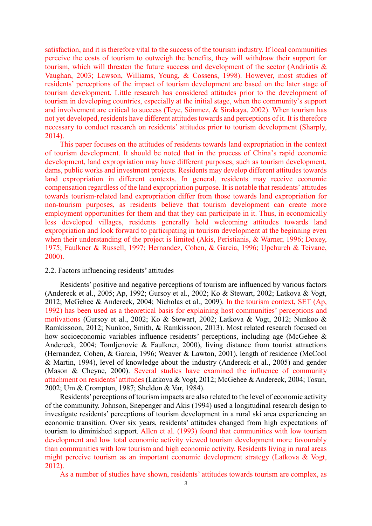satisfaction, and it is therefore vital to the success of the tourism industry. If local communities perceive the costs of tourism to outweigh the benefits, they will withdraw their support for tourism, which will threaten the future success and development of the sector (Andriotis & Vaughan, 2003; Lawson, Williams, Young, & Cossens, 1998). However, most studies of residents' perceptions of the impact of tourism development are based on the later stage of tourism development. Little research has considered attitudes prior to the development of tourism in developing countries, especially at the initial stage, when the community's support and involvement are critical to success (Teye, Sönmez, & Sirakaya, 2002). When tourism has not yet developed, residents have different attitudes towards and perceptions of it. It is therefore necessary to conduct research on residents' attitudes prior to tourism development (Sharply, 2014).

This paper focuses on the attitudes of residents towards land expropriation in the context of tourism development. It should be noted that in the process of China's rapid economic development, land expropriation may have different purposes, such as tourism development, dams, public works and investment projects. Residents may develop different attitudes towards land expropriation in different contexts. In general, residents may receive economic compensation regardless of the land expropriation purpose. It is notable that residents' attitudes towards tourism-related land expropriation differ from those towards land expropriation for non-tourism purposes, as residents believe that tourism development can create more employment opportunities for them and that they can participate in it. Thus, in economically less developed villages, residents generally hold welcoming attitudes towards land expropriation and look forward to participating in tourism development at the beginning even when their understanding of the project is limited (Akis, Peristianis, & Warner, 1996; Doxey, 1975; Faulkner & Russell, 1997; Hernandez, Cohen, & Garcia, 1996; Upchurch & Teivane, 2000).

## 2.2. Factors influencing residents' attitudes

Residents' positive and negative perceptions of tourism are influenced by various factors (Andereck et al., 2005; Ap, 1992; Gursoy et al., 2002; Ko & Stewart, 2002; Latkova & Vogt, 2012; McGehee & Andereck, 2004; Nicholas et al., 2009). In the tourism context, SET (Ap, 1992) has been used as a theoretical basis for explaining host communities' perceptions and motivations (Gursoy et al., 2002; Ko & Stewart, 2002; Latkova & Vogt, 2012; Nunkoo & Ramkissoon, 2012; Nunkoo, Smith, & Ramkissoon, 2013). Most related research focused on how socioeconomic variables influence residents' perceptions, including age (McGehee & Andereck, 2004; Tomljenovic & Faulkner, 2000), living distance from tourist attractions (Hernandez, Cohen, & Garcia, 1996; Weaver & Lawton, 2001), length of residence (McCool & Martin, 1994), level of knowledge about the industry (Andereck et al., 2005) and gender (Mason & Cheyne, 2000). Several studies have examined the influence of community attachment on residents' attitudes (Latkova & Vogt, 2012; McGehee & Andereck, 2004; Tosun, 2002; Um & Crompton, 1987; Sheldon & Var, 1984).

Residents' perceptions of tourism impacts are also related to the level of economic activity of the community. Johnson, Snepenger and Akis (1994) used a longitudinal research design to investigate residents' perceptions of tourism development in a rural ski area experiencing an economic transition. Over six years, residents' attitudes changed from high expectations of tourism to diminished support. Allen et al. (1993) found that communities with low tourism development and low total economic activity viewed tourism development more favourably than communities with low tourism and high economic activity. Residents living in rural areas might perceive tourism as an important economic development strategy (Latkova & Vogt, 2012).

As a number of studies have shown, residents' attitudes towards tourism are complex, as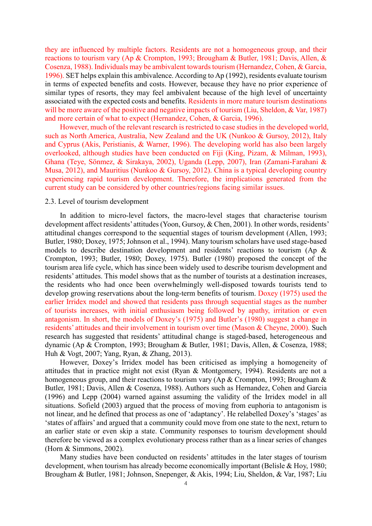they are influenced by multiple factors. Residents are not a homogeneous group, and their reactions to tourism vary (Ap & Crompton, 1993; Brougham & Butler, 1981; Davis, Allen, & Cosenza, 1988). Individuals may be ambivalent towards tourism (Hernandez, Cohen, & Garcia, 1996). SET helps explain this ambivalence. According to Ap (1992), residents evaluate tourism in terms of expected benefits and costs. However, because they have no prior experience of similar types of resorts, they may feel ambivalent because of the high level of uncertainty associated with the expected costs and benefits. Residents in more mature tourism destinations will be more aware of the positive and negative impacts of tourism (Liu, Sheldon, & Var, 1987) and more certain of what to expect (Hernandez, Cohen, & Garcia, 1996).

However, much of the relevant research is restricted to case studies in the developed world, such as North America, Australia, New Zealand and the UK (Nunkoo & Gursoy, 2012), Italy and Cyprus (Akis, Peristianis, & Warner, 1996). The developing world has also been largely overlooked, although studies have been conducted on Fiji (King, Pizam, & Milman, 1993), Ghana (Teye, Sönmez, & Sirakaya, 2002), Uganda (Lepp, 2007), Iran (Zamani-Farahani & Musa, 2012), and Mauritius (Nunkoo & Gursoy, 2012). China is a typical developing country experiencing rapid tourism development. Therefore, the implications generated from the current study can be considered by other countries/regions facing similar issues.

## 2.3. Level of tourism development

In addition to micro-level factors, the macro-level stages that characterise tourism development affect residents' attitudes (Yoon, Gursoy, & Chen, 2001). In other words, residents' attitudinal changes correspond to the sequential stages of tourism development (Allen, 1993; Butler, 1980; Doxey, 1975; Johnson et al., 1994). Many tourism scholars have used stage-based models to describe destination development and residents' reactions to tourism (Ap & Crompton, 1993; Butler, 1980; Doxey, 1975). Butler (1980) proposed the concept of the tourism area life cycle, which has since been widely used to describe tourism development and residents' attitudes. This model shows that as the number of tourists at a destination increases, the residents who had once been overwhelmingly well-disposed towards tourists tend to develop growing reservations about the long-term benefits of tourism. Doxey (1975) used the earlier Irridex model and showed that residents pass through sequential stages as the number of tourists increases, with initial enthusiasm being followed by apathy, irritation or even antagonism. In short, the models of Doxey's (1975) and Butler's (1980) suggest a change in residents' attitudes and their involvement in tourism over time (Mason & Cheyne, 2000). Such research has suggested that residents' attitudinal change is staged-based, heterogeneous and dynamic (Ap & Crompton, 1993; Brougham & Butler, 1981; Davis, Allen, & Cosenza, 1988; Huh & Vogt, 2007; Yang, Ryan, & Zhang, 2013).

However, Doxey's Irridex model has been criticised as implying a homogeneity of attitudes that in practice might not exist (Ryan & Montgomery, 1994). Residents are not a homogeneous group, and their reactions to tourism vary (Ap & Crompton, 1993; Brougham & Butler, 1981; Davis, Allen & Cosenza, 1988). Authors such as Hernandez, Cohen and Garcia (1996) and Lepp (2004) warned against assuming the validity of the Irridex model in all situations. Sofield (2003) argued that the process of moving from euphoria to antagonism is not linear, and he defined that process as one of 'adaptancy'. He relabelled Doxey's 'stages' as 'states of affairs' and argued that a community could move from one state to the next, return to an earlier state or even skip a state. Community responses to tourism development should therefore be viewed as a complex evolutionary process rather than as a linear series of changes (Horn & Simmons, 2002).

Many studies have been conducted on residents' attitudes in the later stages of tourism development, when tourism has already become economically important (Belisle & Hoy, 1980; Brougham & Butler, 1981; Johnson, Snepenger, & Akis, 1994; Liu, Sheldon, & Var, 1987; Liu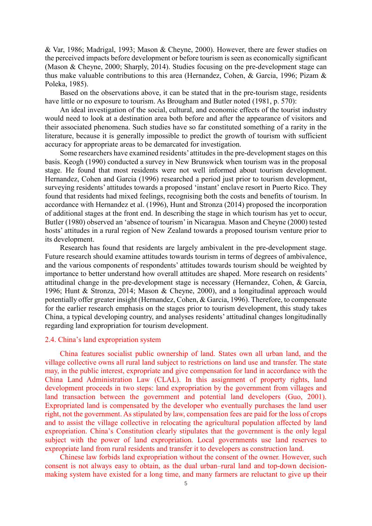& Var, 1986; Madrigal, 1993; Mason & Cheyne, 2000). However, there are fewer studies on the perceived impacts before development or before tourism is seen as economically significant (Mason & Cheyne, 2000; Sharply, 2014). Studies focusing on the pre-development stage can thus make valuable contributions to this area (Hernandez, Cohen, & Garcia, 1996; Pizam & Poleka, 1985).

Based on the observations above, it can be stated that in the pre-tourism stage, residents have little or no exposure to tourism. As Brougham and Butler noted (1981, p. 570):

An ideal investigation of the social, cultural, and economic effects of the tourist industry would need to look at a destination area both before and after the appearance of visitors and their associated phenomena. Such studies have so far constituted something of a rarity in the literature, because it is generally impossible to predict the growth of tourism with sufficient accuracy for appropriate areas to be demarcated for investigation.

Some researchers have examined residents' attitudes in the pre-development stages on this basis. Keogh (1990) conducted a survey in New Brunswick when tourism was in the proposal stage. He found that most residents were not well informed about tourism development. Hernandez, Cohen and Garcia (1996) researched a period just prior to tourism development, surveying residents' attitudes towards a proposed 'instant' enclave resort in Puerto Rico. They found that residents had mixed feelings, recognising both the costs and benefits of tourism. In accordance with Hernandez et al. (1996), Hunt and Stronza (2014) proposed the incorporation of additional stages at the front end. In describing the stage in which tourism has yet to occur, Butler (1980) observed an 'absence of tourism'in Nicaragua. Mason and Cheyne (2000) tested hosts' attitudes in a rural region of New Zealand towards a proposed tourism venture prior to its development.

Research has found that residents are largely ambivalent in the pre-development stage. Future research should examine attitudes towards tourism in terms of degrees of ambivalence, and the various components of respondents' attitudes towards tourism should be weighted by importance to better understand how overall attitudes are shaped. More research on residents' attitudinal change in the pre-development stage is necessary (Hernandez, Cohen, & Garcia, 1996; Hunt & Stronza, 2014; Mason & Cheyne, 2000), and a longitudinal approach would potentially offer greater insight (Hernandez, Cohen, & Garcia, 1996). Therefore, to compensate for the earlier research emphasis on the stages prior to tourism development, this study takes China, a typical developing country, and analyses residents' attitudinal changes longitudinally regarding land expropriation for tourism development.

#### 2.4. China's land expropriation system

China features socialist public ownership of land. States own all urban land, and the village collective owns all rural land subject to restrictions on land use and transfer. The state may, in the public interest, expropriate and give compensation for land in accordance with the China Land Administration Law (CLAL). In this assignment of property rights, land development proceeds in two steps: land expropriation by the government from villages and land transaction between the government and potential land developers (Guo, 2001). Expropriated land is compensated by the developer who eventually purchases the land user right, not the government. As stipulated by law, compensation fees are paid for the loss of crops and to assist the village collective in relocating the agricultural population affected by land expropriation. China's Constitution clearly stipulates that the government is the only legal subject with the power of land expropriation. Local governments use land reserves to expropriate land from rural residents and transfer it to developers as construction land.

Chinese law forbids land expropriation without the consent of the owner. However, such consent is not always easy to obtain, as the dual urban–rural land and top-down decisionmaking system have existed for a long time, and many farmers are reluctant to give up their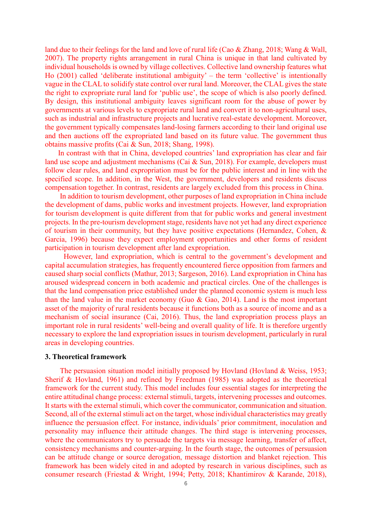land due to their feelings for the land and love of rural life (Cao & Zhang, 2018; Wang & Wall, 2007). The property rights arrangement in rural China is unique in that land cultivated by individual households is owned by village collectives. Collective land ownership features what Ho (2001) called 'deliberate institutional ambiguity' – the term 'collective' is intentionally vague in the CLAL to solidify state control over rural land. Moreover, the CLAL gives the state the right to expropriate rural land for 'public use', the scope of which is also poorly defined. By design, this institutional ambiguity leaves significant room for the abuse of power by governments at various levels to expropriate rural land and convert it to non-agricultural uses, such as industrial and infrastructure projects and lucrative real-estate development. Moreover, the government typically compensates land-losing farmers according to their land original use and then auctions off the expropriated land based on its future value. The government thus obtains massive profits (Cai & Sun, 2018; Shang, 1998).

In contrast with that in China, developed countries' land expropriation has clear and fair land use scope and adjustment mechanisms (Cai & Sun, 2018). For example, developers must follow clear rules, and land expropriation must be for the public interest and in line with the specified scope. In addition, in the West, the government, developers and residents discuss compensation together. In contrast, residents are largely excluded from this process in China.

In addition to tourism development, other purposes of land expropriation in China include the development of dams, public works and investment projects. However, land expropriation for tourism development is quite different from that for public works and general investment projects. In the pre-tourism development stage, residents have not yet had any direct experience of tourism in their community, but they have positive expectations (Hernandez, Cohen, & Garcia, 1996) because they expect employment opportunities and other forms of resident participation in tourism development after land expropriation.

However, land expropriation, which is central to the government's development and capital accumulation strategies, has frequently encountered fierce opposition from farmers and caused sharp social conflicts (Mathur, 2013; Sargeson, 2016). Land expropriation in China has aroused widespread concern in both academic and practical circles. One of the challenges is that the land compensation price established under the planned economic system is much less than the land value in the market economy (Guo & Gao, 2014). Land is the most important asset of the majority of rural residents because it functions both as a source of income and as a mechanism of social insurance (Cai, 2016). Thus, the land expropriation process plays an important role in rural residents' well-being and overall quality of life. It is therefore urgently necessary to explore the land expropriation issues in tourism development, particularly in rural areas in developing countries.

#### **3. Theoretical framework**

The persuasion situation model initially proposed by Hovland (Hovland & Weiss, 1953; Sherif & Hovland, 1961) and refined by Freedman (1985) was adopted as the theoretical framework for the current study. This model includes four essential stages for interpreting the entire attitudinal change process: external stimuli, targets, intervening processes and outcomes. It starts with the external stimuli, which cover the communicator, communication and situation. Second, all of the external stimuli act on the target, whose individual characteristics may greatly influence the persuasion effect. For instance, individuals' prior commitment, inoculation and personality may influence their attitude changes. The third stage is intervening processes, where the communicators try to persuade the targets via message learning, transfer of affect, consistency mechanisms and counter-arguing. In the fourth stage, the outcomes of persuasion can be attitude change or source derogation, message distortion and blanket rejection. This framework has been widely cited in and adopted by research in various disciplines, such as consumer research (Friestad & Wright, 1994; Petty, 2018; Khantimirov & Karande, 2018),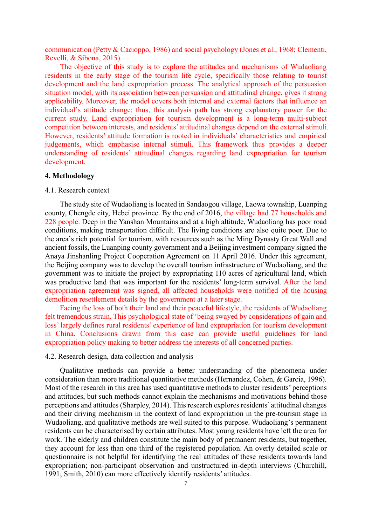communication (Petty & Cacioppo, 1986) and social psychology (Jones et al., 1968; Clementi, Revelli, & Sibona, 2015).

The objective of this study is to explore the attitudes and mechanisms of Wudaoliang residents in the early stage of the tourism life cycle, specifically those relating to tourist development and the land expropriation process. The analytical approach of the persuasion situation model, with its association between persuasion and attitudinal change, gives it strong applicability. Moreover, the model covers both internal and external factors that influence an individual's attitude change; thus, this analysis path has strong explanatory power for the current study. Land expropriation for tourism development is a long-term multi-subject competition between interests, and residents' attitudinal changes depend on the external stimuli. However, residents' attitude formation is rooted in individuals' characteristics and empirical judgements, which emphasise internal stimuli. This framework thus provides a deeper understanding of residents' attitudinal changes regarding land expropriation for tourism development.

## **4. Methodology**

## 4.1. Research context

The study site of Wudaoliang is located in Sandaogou village, Laowa township, Luanping county, Chengde city, Hebei province. By the end of 2016, the village had 77 households and 228 people. Deep in the Yanshan Mountains and at a high altitude, Wudaoliang has poor road conditions, making transportation difficult. The living conditions are also quite poor. Due to the area's rich potential for tourism, with resources such as the Ming Dynasty Great Wall and ancient fossils, the Luanping county government and a Beijing investment company signed the Anaya Jinshanling Project Cooperation Agreement on 11 April 2016. Under this agreement, the Beijing company was to develop the overall tourism infrastructure of Wudaoliang, and the government was to initiate the project by expropriating 110 acres of agricultural land, which was productive land that was important for the residents' long-term survival. After the land expropriation agreement was signed, all affected households were notified of the housing demolition resettlement details by the government at a later stage.

Facing the loss of both their land and their peaceful lifestyle, the residents of Wudaoliang felt tremendous strain. This psychological state of 'being swayed by considerations of gain and loss' largely defines rural residents' experience of land expropriation for tourism development in China. Conclusions drawn from this case can provide useful guidelines for land expropriation policy making to better address the interests of all concerned parties.

#### 4.2. Research design, data collection and analysis

Qualitative methods can provide a better understanding of the phenomena under consideration than more traditional quantitative methods (Hernandez, Cohen, & Garcia, 1996). Most of the research in this area has used quantitative methods to cluster residents' perceptions and attitudes, but such methods cannot explain the mechanisms and motivations behind those perceptions and attitudes (Sharpley, 2014). This research explores residents' attitudinal changes and their driving mechanism in the context of land expropriation in the pre-tourism stage in Wudaoliang, and qualitative methods are well suited to this purpose. Wudaoliang's permanent residents can be characterised by certain attributes. Most young residents have left the area for work. The elderly and children constitute the main body of permanent residents, but together, they account for less than one third of the registered population. An overly detailed scale or questionnaire is not helpful for identifying the real attitudes of these residents towards land expropriation; non-participant observation and unstructured in-depth interviews (Churchill, 1991; Smith, 2010) can more effectively identify residents' attitudes.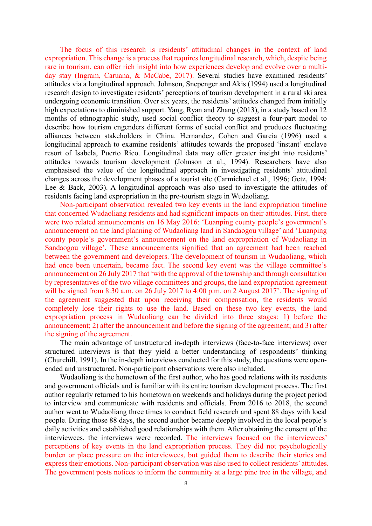The focus of this research is residents' attitudinal changes in the context of land expropriation. This change is a process that requires longitudinal research, which, despite being rare in tourism, can offer rich insight into how experiences develop and evolve over a multiday stay (Ingram, Caruana, & McCabe, 2017). Several studies have examined residents' attitudes via a longitudinal approach. Johnson, Snepenger and Akis (1994) used a longitudinal research design to investigate residents' perceptions of tourism development in a rural ski area undergoing economic transition. Over six years, the residents' attitudes changed from initially high expectations to diminished support. Yang, Ryan and Zhang (2013), in a study based on 12 months of ethnographic study, used social conflict theory to suggest a four-part model to describe how tourism engenders different forms of social conflict and produces fluctuating alliances between stakeholders in China. Hernandez, Cohen and Garcia (1996) used a longitudinal approach to examine residents' attitudes towards the proposed 'instant' enclave resort of Isabela, Puerto Rico. Longitudinal data may offer greater insight into residents' attitudes towards tourism development (Johnson et al., 1994). Researchers have also emphasised the value of the longitudinal approach in investigating residents' attitudinal changes across the development phases of a tourist site (Carmichael et al., 1996; Getz, 1994; Lee & Back, 2003). A longitudinal approach was also used to investigate the attitudes of residents facing land expropriation in the pre-tourism stage in Wudaoliang.

Non-participant observation revealed two key events in the land expropriation timeline that concerned Wudaoliang residents and had significant impacts on their attitudes. First, there were two related announcements on 16 May 2016: 'Luanping county people's government's announcement on the land planning of Wudaoliang land in Sandaogou village' and 'Luanping county people's government's announcement on the land expropriation of Wudaoliang in Sandaogou village'. These announcements signified that an agreement had been reached between the government and developers. The development of tourism in Wudaoliang, which had once been uncertain, became fact. The second key event was the village committee's announcement on 26 July 2017 that 'with the approval of the township and through consultation by representatives of the two village committees and groups, the land expropriation agreement will be signed from 8:30 a.m. on 26 July 2017 to 4:00 p.m. on 2 August 2017'. The signing of the agreement suggested that upon receiving their compensation, the residents would completely lose their rights to use the land. Based on these two key events, the land expropriation process in Wudaoliang can be divided into three stages: 1) before the announcement; 2) after the announcement and before the signing of the agreement; and 3) after the signing of the agreement.

The main advantage of unstructured in-depth interviews (face-to-face interviews) over structured interviews is that they yield a better understanding of respondents' thinking (Churchill, 1991). In the in-depth interviews conducted for this study, the questions were openended and unstructured. Non-participant observations were also included.

Wudaoliang is the hometown of the first author, who has good relations with its residents and government officials and is familiar with its entire tourism development process. The first author regularly returned to his hometown on weekends and holidays during the project period to interview and communicate with residents and officials. From 2016 to 2018, the second author went to Wudaoliang three times to conduct field research and spent 88 days with local people. During those 88 days, the second author became deeply involved in the local people's daily activities and established good relationships with them. After obtaining the consent of the interviewees, the interviews were recorded. The interviews focused on the interviewees' perceptions of key events in the land expropriation process. They did not psychologically burden or place pressure on the interviewees, but guided them to describe their stories and express their emotions. Non-participant observation was also used to collect residents' attitudes. The government posts notices to inform the community at a large pine tree in the village, and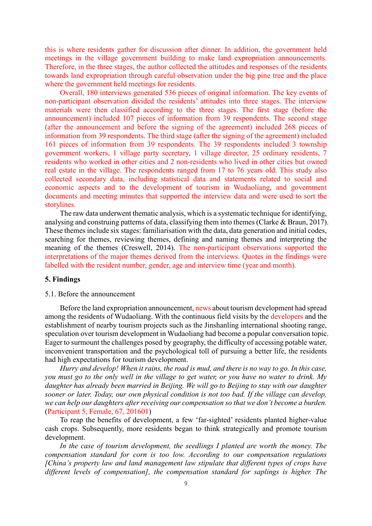this is where residents gather for discussion after dinner. In addition, the government held meetings in the village government building to make land expropriation announcements. Therefore, in the three stages, the author collected the attitudes and responses of the residents towards land expropriation through careful observation under the big pine tree and the place where the government held meetings for residents.

Overall, 180 interviews generated 536 pieces of original information. The key events of non-participant observation divided the residents' attitudes into three stages. The interview materials were then classified according to the three stages. The first stage (before the announcement) included 107 pieces of information from 39 respondents. The second stage (after the announcement and before the signing of the agreement) included 268 pieces of information from 39 respondents. The third stage (after the signing of the agreement) included 161 pieces of information from 39 respondents. The 39 respondents included 3 township government workers, 1 village party secretary, 1 village director, 25 ordinary residents, 7 residents who worked in other cities and 2 non-residents who lived in other cities but owned real estate in the village. The respondents ranged from 17 to 76 years old. This study also collected secondary data, including statistical data and statements related to social and economic aspects and to the development of tourism in Wudaoliang, and government documents and meeting minutes that supported the interview data and were used to sort the storylines.

The raw data underwent thematic analysis, which is a systematic technique for identifying, analysing and construing patterns of data, classifying them into themes (Clarke & Braun, 2017). These themes include six stages: familiarisation with the data, data generation and initial codes, searching for themes, reviewing themes, defining and naming themes and interpreting the meaning of the themes (Creswell, 2014). The non-participant observations supported the interpretations of the major themes derived from the interviews. Quotes in the findings were labelled with the resident number, gender, age and interview time (year and month).

## **5. Findings**

## 5.1. Before the announcement

Before the land expropriation announcement, news about tourism development had spread among the residents of Wudaoliang. With the continuous field visits by the developers and the establishment of nearby tourism projects such as the Jinshanling international shooting range, speculation over tourism development in Wudaoliang had become a popular conversation topic. Eager to surmount the challenges posed by geography, the difficulty of accessing potable water, inconvenient transportation and the psychological toll of pursuing a better life, the residents had high expectations for tourism development.

*Hurry and develop! When it rains, the road is mud, and there is no way to go. In this case, you must go to the only well in the village to get water, or you have no water to drink. My daughter has already been married in Beijing. We will go to Beijing to stay with our daughter sooner or later. Today, our own physical condition is not too bad. If the village can develop, we can help our daughters after receiving our compensation so that we don't become a burden.* (Participant 5, Female, 67, 201601)

To reap the benefits of development, a few 'far-sighted' residents planted higher-value cash crops. Subsequently, more residents began to think strategically and promote tourism development.

*In the case of tourism development, the seedlings I planted are worth the money. The compensation standard for corn is too low. According to our compensation regulations [China's property law and land management law stipulate that different types of crops have different levels of compensation], the compensation standard for saplings is higher. The*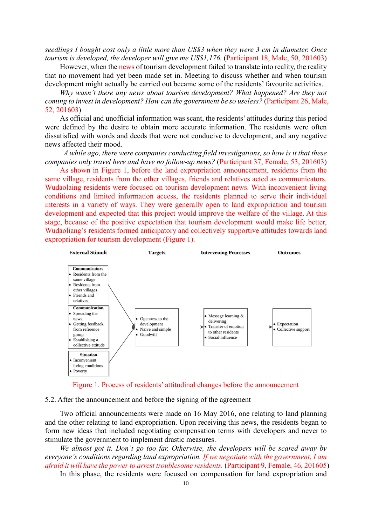*seedlings I bought cost only a little more than US\$3 when they were 3 cm in diameter. Once tourism is developed, the developer will give me US\$1,176.* (Participant 18, Male, 50, 201603)

However, when the news of tourism development failed to translate into reality, the reality that no movement had yet been made set in. Meeting to discuss whether and when tourism development might actually be carried out became some of the residents' favourite activities.

*Why wasn't there any news about tourism development? What happened? Are they not coming to invest in development? How can the government be so useless?* (Participant 26, Male, 52, 201603)

As official and unofficial information was scant, the residents' attitudes during this period were defined by the desire to obtain more accurate information. The residents were often dissatisfied with words and deeds that were not conducive to development, and any negative news affected their mood.

*A while ago, there were companies conducting field investigations, so how is it that these companies only travel here and have no follow-up news?* (Participant 37, Female, 53, 201603)

As shown in Figure 1, before the land expropriation announcement, residents from the same village, residents from the other villages, friends and relatives acted as communicators. Wudaolaing residents were focused on tourism development news. With inconvenient living conditions and limited information access, the residents planned to serve their individual interests in a variety of ways. They were generally open to land expropriation and tourism development and expected that this project would improve the welfare of the village. At this stage, because of the positive expectation that tourism development would make life better, Wudaoliang's residents formed anticipatory and collectively supportive attitudes towards land expropriation for tourism development (Figure 1).



Figure 1. Process of residents' attitudinal changes before the announcement

5.2. After the announcement and before the signing of the agreement

Two official announcements were made on 16 May 2016, one relating to land planning and the other relating to land expropriation. Upon receiving this news, the residents began to form new ideas that included negotiating compensation terms with developers and never to stimulate the government to implement drastic measures.

*We almost got it. Don't go too far. Otherwise, the developers will be scared away by everyone's conditions regarding land expropriation. If we negotiate with the government, I am afraid it will have the power to arrest troublesome residents.* (Participant 9, Female, 46, 201605)

In this phase, the residents were focused on compensation for land expropriation and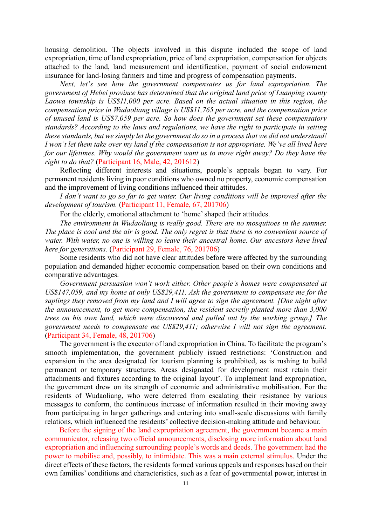housing demolition. The objects involved in this dispute included the scope of land expropriation, time of land expropriation, price of land expropriation, compensation for objects attached to the land, land measurement and identification, payment of social endowment insurance for land-losing farmers and time and progress of compensation payments.

*Next, let's see how the government compensates us for land expropriation. The government of Hebei province has determined that the original land price of Luanping county Laowa township is US\$11,000 per acre. Based on the actual situation in this region, the compensation price in Wudaoliang village is US\$11,765 per acre, and the compensation price of unused land is US\$7,059 per acre. So how does the government set these compensatory standards? According to the laws and regulations, we have the right to participate in setting these standards, but we simply let the government do so in a process that we did not understand! I won't let them take over my land if the compensation is not appropriate. We've all lived here for our lifetimes. Why would the government want us to move right away? Do they have the right to do that?* (Participant 16, Male, 42, 201612)

Reflecting different interests and situations, people's appeals began to vary. For permanent residents living in poor conditions who owned no property, economic compensation and the improvement of living conditions influenced their attitudes.

*I don't want to go so far to get water. Our living conditions will be improved after the development of tourism.* (Participant 11, Female, 67, 201706)

For the elderly, emotional attachment to 'home'shaped their attitudes.

*The environment in Wudaoliang is really good. There are no mosquitoes in the summer. The place is cool and the air is good. The only regret is that there is no convenient source of water. With water, no one is willing to leave their ancestral home. Our ancestors have lived here for generations.* (Participant 29, Female, 76, 201706)

Some residents who did not have clear attitudes before were affected by the surrounding population and demanded higher economic compensation based on their own conditions and comparative advantages.

*Government persuasion won't work either. Other people's homes were compensated at US\$147,059, and my home at only US\$29,411. Ask the government to compensate me for the saplings they removed from my land and I will agree to sign the agreement. [One night after the announcement, to get more compensation, the resident secretly planted more than 3,000 trees on his own land, which were discovered and pulled out by the working group.] The government needs to compensate me US\$29,411; otherwise I will not sign the agreement.* (Participant 34, Female, 48, 201706)

The government is the executor of land expropriation in China. To facilitate the program's smooth implementation, the government publicly issued restrictions: 'Construction and expansion in the area designated for tourism planning is prohibited, as is rushing to build permanent or temporary structures. Areas designated for development must retain their attachments and fixtures according to the original layout'. To implement land expropriation, the government drew on its strength of economic and administrative mobilisation. For the residents of Wudaoliang, who were deterred from escalating their resistance by various messages to conform, the continuous increase of information resulted in their moving away from participating in larger gatherings and entering into small-scale discussions with family relations, which influenced the residents' collective decision-making attitude and behaviour.

Before the signing of the land expropriation agreement, the government became a main communicator, releasing two official announcements, disclosing more information about land expropriation and influencing surrounding people's words and deeds. The government had the power to mobilise and, possibly, to intimidate. This was a main external stimulus. Under the direct effects of these factors, the residents formed various appeals and responses based on their own families' conditions and characteristics, such as a fear of governmental power, interest in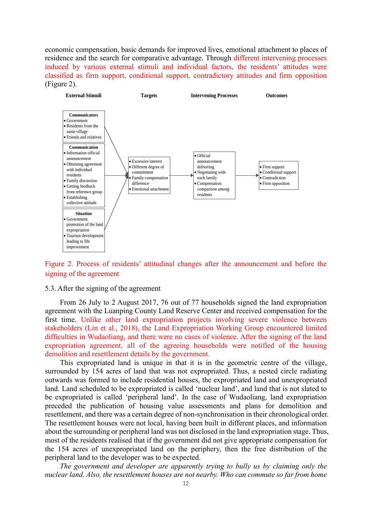economic compensation, basic demands for improved lives, emotional attachment to places of residence and the search for comparative advantage. Through different intervening processes induced by various external stimuli and individual factors, the residents' attitudes were classified as firm support, conditional support, contradictory attitudes and firm opposition (Figure 2).



Figure 2. Process of residents' attitudinal changes after the announcement and before the signing of the agreement

## 5.3. After the signing of the agreement

From 26 July to 2 August 2017, 76 out of 77 households signed the land expropriation agreement with the Luanping County Land Reserve Center and received compensation for the first time. Unlike other land expropriation projects involving severe violence between stakeholders (Lin et al., 2018), the Land Expropriation Working Group encountered limited difficulties in Wudaoliang, and there were no cases of violence. After the signing of the land expropriation agreement, all of the agreeing households were notified of the housing demolition and resettlement details by the government.

This expropriated land is unique in that it is in the geometric centre of the village, surrounded by 154 acres of land that was not expropriated. Thus, a nested circle radiating outwards was formed to include residential houses, the expropriated land and unexpropriated land. Land scheduled to be expropriated is called 'nuclear land', and land that is not slated to be expropriated is called 'peripheral land'. In the case of Wudaoliang, land expropriation preceded the publication of housing value assessments and plans for demolition and resettlement, and there was a certain degree of non-synchronisation in their chronological order. The resettlement houses were not local, having been built in different places, and information about the surrounding or peripheral land was not disclosed in the land expropriation stage. Thus, most of the residents realised that if the government did not give appropriate compensation for the 154 acres of unexpropriated land on the periphery, then the free distribution of the peripheral land to the developer was to be expected.

*The government and developer are apparently trying to bully us by claiming only the nuclear land. Also, the resettlement houses are not nearby. Who can commute so far from home*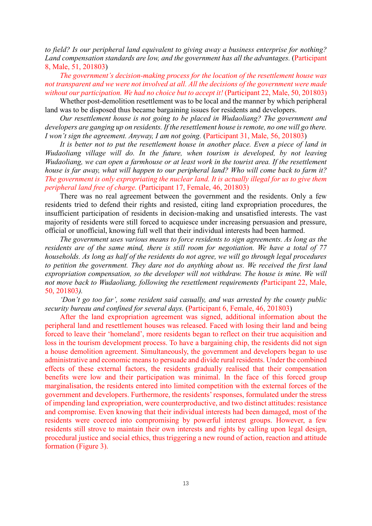*to field? Is our peripheral land equivalent to giving away a business enterprise for nothing?*  Land compensation standards are low, and the government has all the advantages. (Participant 8, Male, 51, 201803)

*The government's decision-making process for the location of the resettlement house was not transparent and we were not involved at all. All the decisions of the government were made without our participation. We had no choice but to accept it!* (Participant 22, Male, 50, 201803)

Whether post-demolition resettlement was to be local and the manner by which peripheral land was to be disposed thus became bargaining issues for residents and developers.

*Our resettlement house is not going to be placed in Wudaoliang? The government and developers are ganging up on residents. If the resettlement house is remote, no one will go there. I won't sign the agreement. Anyway, I am not going.* (Participant 31, Male, 56, 201803)

*It is better not to put the resettlement house in another place. Even a piece of land in Wudaoliang village will do. In the future, when tourism is developed, by not leaving Wudaoliang, we can open a farmhouse or at least work in the tourist area. If the resettlement house is far away, what will happen to our peripheral land? Who will come back to farm it? The government is only expropriating the nuclear land. It is actually illegal for us to give them peripheral land free of charge.* (Participant 17, Female, 46, 201803)

There was no real agreement between the government and the residents. Only a few residents tried to defend their rights and resisted, citing land expropriation procedures, the insufficient participation of residents in decision-making and unsatisfied interests. The vast majority of residents were still forced to acquiesce under increasing persuasion and pressure, official or unofficial, knowing full well that their individual interests had been harmed.

*The government uses various means to force residents to sign agreements. As long as the residents are of the same mind, there is still room for negotiation. We have a total of 77 households. As long as half of the residents do not agree, we will go through legal procedures to petition the government. They dare not do anything about us. We received the first land expropriation compensation, so the developer will not withdraw. The house is mine. We will not move back to Wudaoliang, following the resettlement requirements (*Participant 22, Male, 50, 201803*).*

*'Don't go too far', some resident said casually, and was arrested by the county public security bureau and confined for several days.* (Participant 6, Female, 46, 201803)

After the land expropriation agreement was signed, additional information about the peripheral land and resettlement houses was released. Faced with losing their land and being forced to leave their 'homeland', more residents began to reflect on their true acquisition and loss in the tourism development process. To have a bargaining chip, the residents did not sign a house demolition agreement. Simultaneously, the government and developers began to use administrative and economic means to persuade and divide rural residents. Under the combined effects of these external factors, the residents gradually realised that their compensation benefits were low and their participation was minimal. In the face of this forced group marginalisation, the residents entered into limited competition with the external forces of the government and developers. Furthermore, the residents' responses, formulated under the stress of impending land expropriation, were counterproductive, and two distinct attitudes: resistance and compromise. Even knowing that their individual interests had been damaged, most of the residents were coerced into compromising by powerful interest groups. However, a few residents still strove to maintain their own interests and rights by calling upon legal design, procedural justice and social ethics, thus triggering a new round of action, reaction and attitude formation (Figure 3).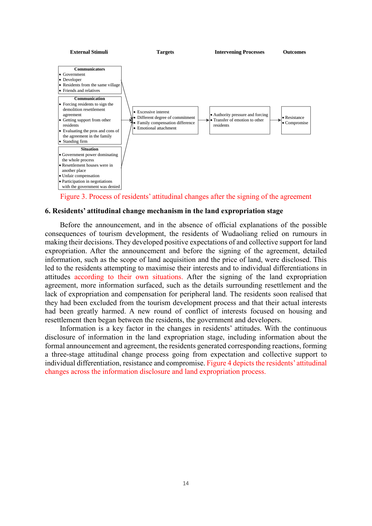

Figure 3. Process of residents' attitudinal changes after the signing of the agreement

## **6. Residents' attitudinal change mechanism in the land expropriation stage**

Before the announcement, and in the absence of official explanations of the possible consequences of tourism development, the residents of Wudaoliang relied on rumours in making their decisions. They developed positive expectations of and collective support for land expropriation. After the announcement and before the signing of the agreement, detailed information, such as the scope of land acquisition and the price of land, were disclosed. This led to the residents attempting to maximise their interests and to individual differentiations in attitudes according to their own situations. After the signing of the land expropriation agreement, more information surfaced, such as the details surrounding resettlement and the lack of expropriation and compensation for peripheral land. The residents soon realised that they had been excluded from the tourism development process and that their actual interests had been greatly harmed. A new round of conflict of interests focused on housing and resettlement then began between the residents, the government and developers.

Information is a key factor in the changes in residents' attitudes. With the continuous disclosure of information in the land expropriation stage, including information about the formal announcement and agreement, the residents generated corresponding reactions, forming a three-stage attitudinal change process going from expectation and collective support to individual differentiation, resistance and compromise. Figure 4 depicts the residents' attitudinal changes across the information disclosure and land expropriation process.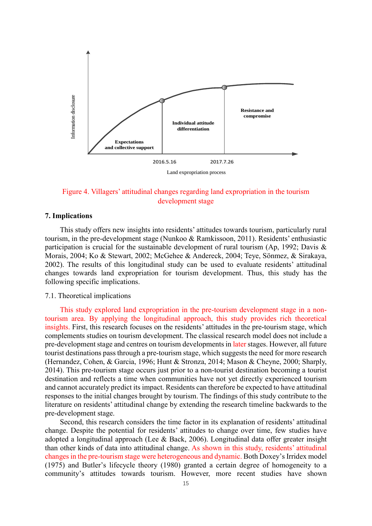

Figure 4. Villagers' attitudinal changes regarding land expropriation in the tourism development stage

## **7. Implications**

This study offers new insights into residents' attitudes towards tourism, particularly rural tourism, in the pre-development stage (Nunkoo & Ramkissoon, 2011). Residents' enthusiastic participation is crucial for the sustainable development of rural tourism (Ap, 1992; Davis & Morais, 2004; Ko & Stewart, 2002; McGehee & Andereck, 2004; Teye, Sönmez, & Sirakaya, 2002). The results of this longitudinal study can be used to evaluate residents' attitudinal changes towards land expropriation for tourism development. Thus, this study has the following specific implications.

#### 7.1. Theoretical implications

This study explored land expropriation in the pre-tourism development stage in a nontourism area. By applying the longitudinal approach, this study provides rich theoretical insights. First, this research focuses on the residents' attitudes in the pre-tourism stage, which complements studies on tourism development. The classical research model does not include a pre-development stage and centres on tourism developments in later stages. However, all future tourist destinations pass through a pre-tourism stage, which suggests the need for more research (Hernandez, Cohen, & Garcia, 1996; Hunt & Stronza, 2014; Mason & Cheyne, 2000; Sharply, 2014). This pre-tourism stage occurs just prior to a non-tourist destination becoming a tourist destination and reflects a time when communities have not yet directly experienced tourism and cannot accurately predict its impact. Residents can therefore be expected to have attitudinal responses to the initial changes brought by tourism. The findings of this study contribute to the literature on residents' attitudinal change by extending the research timeline backwards to the pre-development stage.

Second, this research considers the time factor in its explanation of residents' attitudinal change. Despite the potential for residents' attitudes to change over time, few studies have adopted a longitudinal approach (Lee & Back, 2006). Longitudinal data offer greater insight than other kinds of data into attitudinal change. As shown in this study, residents' attitudinal changes in the pre-tourism stage were heterogeneous and dynamic. Both Doxey's Irridex model (1975) and Butler's lifecycle theory (1980) granted a certain degree of homogeneity to a community's attitudes towards tourism. However, more recent studies have shown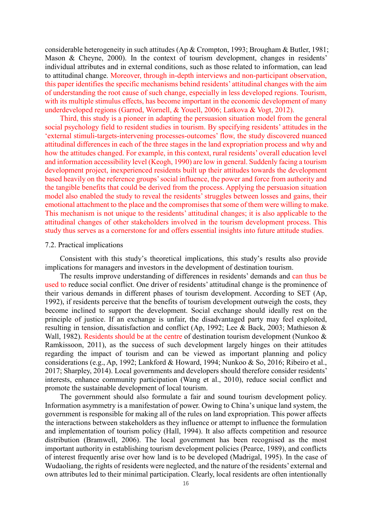considerable heterogeneity in such attitudes (Ap & Crompton, 1993; Brougham & Butler, 1981; Mason & Cheyne, 2000). In the context of tourism development, changes in residents' individual attributes and in external conditions, such as those related to information, can lead to attitudinal change. Moreover, through in-depth interviews and non-participant observation, this paper identifies the specific mechanisms behind residents' attitudinal changes with the aim of understanding the root cause of such change, especially in less developed regions. Tourism, with its multiple stimulus effects, has become important in the economic development of many underdeveloped regions (Garrod, Wornell, & Youell, 2006; Latkova & Vogt, 2012).

Third, this study is a pioneer in adapting the persuasion situation model from the general social psychology field to resident studies in tourism. By specifying residents' attitudes in the 'external stimuli-targets-intervening processes-outcomes' flow, the study discovered nuanced attitudinal differences in each of the three stages in the land expropriation process and why and how the attitudes changed. For example, in this context, rural residents' overall education level and information accessibility level (Keogh, 1990) are low in general. Suddenly facing a tourism development project, inexperienced residents built up their attitudes towards the development based heavily on the reference groups' social influence, the power and force from authority and the tangible benefits that could be derived from the process. Applying the persuasion situation model also enabled the study to reveal the residents' struggles between losses and gains, their emotional attachment to the place and the compromises that some of them were willing to make. This mechanism is not unique to the residents' attitudinal changes; it is also applicable to the attitudinal changes of other stakeholders involved in the tourism development process. This study thus serves as a cornerstone for and offers essential insights into future attitude studies.

#### 7.2. Practical implications

Consistent with this study's theoretical implications, this study's results also provide implications for managers and investors in the development of destination tourism.

The results improve understanding of differences in residents' demands and can thus be used to reduce social conflict. One driver of residents' attitudinal change is the prominence of their various demands in different phases of tourism development. According to SET (Ap, 1992), if residents perceive that the benefits of tourism development outweigh the costs, they become inclined to support the development. Social exchange should ideally rest on the principle of justice. If an exchange is unfair, the disadvantaged party may feel exploited, resulting in tension, dissatisfaction and conflict (Ap, 1992; Lee & Back, 2003; Mathieson & Wall, 1982). Residents should be at the centre of destination tourism development (Nunkoo & Ramkissoon, 2011), as the success of such development largely hinges on their attitudes regarding the impact of tourism and can be viewed as important planning and policy considerations (e.g., Ap, 1992; Lankford & Howard, 1994; Nunkoo & So, 2016; Ribeiro et al., 2017; Sharpley, 2014). Local governments and developers should therefore consider residents' interests, enhance community participation (Wang et al., 2010), reduce social conflict and promote the sustainable development of local tourism.

The government should also formulate a fair and sound tourism development policy. Information asymmetry is a manifestation of power. Owing to China's unique land system, the government is responsible for making all of the rules on land expropriation. This power affects the interactions between stakeholders as they influence or attempt to influence the formulation and implementation of tourism policy (Hall, 1994). It also affects competition and resource distribution (Bramwell, 2006). The local government has been recognised as the most important authority in establishing tourism development policies (Pearce, 1989), and conflicts of interest frequently arise over how land is to be developed (Madrigal, 1995). In the case of Wudaoliang, the rights of residents were neglected, and the nature of the residents' external and own attributes led to their minimal participation. Clearly, local residents are often intentionally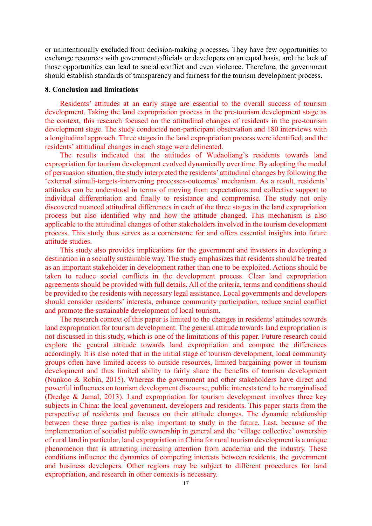or unintentionally excluded from decision-making processes. They have few opportunities to exchange resources with government officials or developers on an equal basis, and the lack of those opportunities can lead to social conflict and even violence. Therefore, the government should establish standards of transparency and fairness for the tourism development process.

## **8. Conclusion and limitations**

Residents' attitudes at an early stage are essential to the overall success of tourism development. Taking the land expropriation process in the pre-tourism development stage as the context, this research focused on the attitudinal changes of residents in the pre-tourism development stage. The study conducted non-participant observation and 180 interviews with a longitudinal approach. Three stages in the land expropriation process were identified, and the residents' attitudinal changes in each stage were delineated.

The results indicated that the attitudes of Wudaoliang's residents towards land expropriation for tourism development evolved dynamically over time. By adopting the model of persuasion situation, the study interpreted the residents' attitudinal changes by following the 'external stimuli-targets-intervening processes-outcomes' mechanism. As a result, residents' attitudes can be understood in terms of moving from expectations and collective support to individual differentiation and finally to resistance and compromise. The study not only discovered nuanced attitudinal differences in each of the three stages in the land expropriation process but also identified why and how the attitude changed. This mechanism is also applicable to the attitudinal changes of other stakeholders involved in the tourism development process. This study thus serves as a cornerstone for and offers essential insights into future attitude studies.

This study also provides implications for the government and investors in developing a destination in a socially sustainable way. The study emphasizes that residents should be treated as an important stakeholder in development rather than one to be exploited. Actions should be taken to reduce social conflicts in the development process. Clear land expropriation agreements should be provided with full details. All of the criteria, terms and conditions should be provided to the residents with necessary legal assistance. Local governments and developers should consider residents' interests, enhance community participation, reduce social conflict and promote the sustainable development of local tourism.

The research context of this paper is limited to the changes in residents' attitudes towards land expropriation for tourism development. The general attitude towards land expropriation is not discussed in this study, which is one of the limitations of this paper. Future research could explore the general attitude towards land expropriation and compare the differences accordingly. It is also noted that in the initial stage of tourism development, local community groups often have limited access to outside resources, limited bargaining power in tourism development and thus limited ability to fairly share the benefits of tourism development (Nunkoo & Robin, 2015). Whereas the government and other stakeholders have direct and powerful influences on tourism development discourse, public interests tend to be marginalised (Dredge & Jamal, 2013). Land expropriation for tourism development involves three key subjects in China: the local government, developers and residents. This paper starts from the perspective of residents and focuses on their attitude changes. The dynamic relationship between these three parties is also important to study in the future. Last, because of the implementation of socialist public ownership in general and the 'village collective' ownership of rural land in particular, land expropriation in China for rural tourism development is a unique phenomenon that is attracting increasing attention from academia and the industry. These conditions influence the dynamics of competing interests between residents, the government and business developers. Other regions may be subject to different procedures for land expropriation, and research in other contexts is necessary.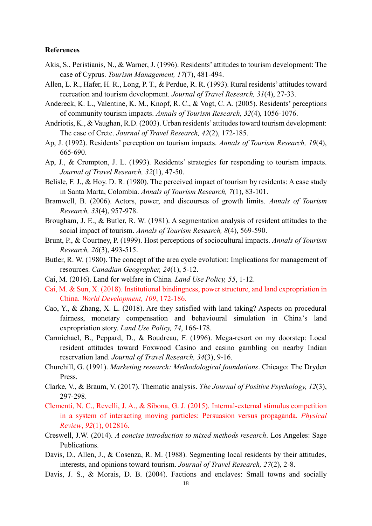## **References**

- Akis, S., Peristianis, N., & Warner, J. (1996). Residents' attitudes to tourism development: The case of Cyprus. *Tourism Management, 17*(7), 481-494.
- Allen, L. R., Hafer, H. R., Long, P. T., & Perdue, R. R. (1993). Rural residents' attitudes toward recreation and tourism development. *Journal of Travel Research, 31*(4), 27-33.
- Andereck, K. L., Valentine, K. M., Knopf, R. C., & Vogt, C. A. (2005). Residents' perceptions of community tourism impacts. *Annals of Tourism Research, 32*(4), 1056-1076.
- Andriotis, K., & Vaughan, R.D. (2003). Urban residents' attitudes toward tourism development: The case of Crete. *Journal of Travel Research, 42*(2), 172-185.
- Ap, J. (1992). Residents' perception on tourism impacts. *Annals of Tourism Research, 19*(4), 665-690.
- Ap, J., & Crompton, J. L. (1993). Residents' strategies for responding to tourism impacts. *Journal of Travel Research, 32*(1), 47-50.
- Belisle, F. J., & Hoy. D. R. (1980). The perceived impact of tourism by residents: A case study in Santa Marta, Colombia. *Annals of Tourism Research, 7*(1), 83-101.
- Bramwell, B. (2006). Actors, power, and discourses of growth limits. *Annals of Tourism Research, 33*(4), 957-978.
- Brougham, J. E., & Butler, R. W. (1981). A segmentation analysis of resident attitudes to the social impact of tourism. *Annals of Tourism Research, 8*(4), 569-590.
- Brunt, P., & Courtney, P. (1999). Host perceptions of sociocultural impacts. *Annals of Tourism Research, 26*(3), 493-515.
- Butler, R. W. (1980). The concept of the area cycle evolution: Implications for management of resources. *Canadian Geographer, 24*(1), 5-12.
- Cai, M. (2016). Land for welfare in China. *Land Use Policy, 55*, 1-12.
- Cai, M. & Sun, X. (2018). Institutional bindingness, power structure, and land expropriation in China. *World Development, 109*, 172-186.
- Cao, Y., & Zhang, X. L. (2018). Are they satisfied with land taking? Aspects on procedural fairness, monetary compensation and behavioural simulation in China's land expropriation story. *Land Use Policy, 74*, 166-178.
- Carmichael, B., Peppard, D., & Boudreau, F. (1996). Mega-resort on my doorstep: Local resident attitudes toward Foxwood Casino and casino gambling on nearby Indian reservation land. *Journal of Travel Research, 34*(3), 9-16.
- Churchill, G. (1991). *Marketing research: Methodological foundations*. Chicago: The Dryden Press.
- Clarke, V., & Braum, V. (2017). Thematic analysis. *The Journal of Positive Psychology, 12*(3), 297-298.
- Clementi, N. C., Revelli, J. A., & Sibona, G. J. (2015). Internal-external stimulus competition in a system of interacting moving particles: Persuasion versus propaganda. *Physical Review*, *92*(1), 012816.
- Creswell, J.W. (2014). *A concise introduction to mixed methods research*. Los Angeles: Sage Publications.
- Davis, D., Allen, J., & Cosenza, R. M. (1988). Segmenting local residents by their attitudes, interests, and opinions toward tourism. *Journal of Travel Research, 27*(2), 2-8.
- Davis, J. S., & Morais, D. B. (2004). Factions and enclaves: Small towns and socially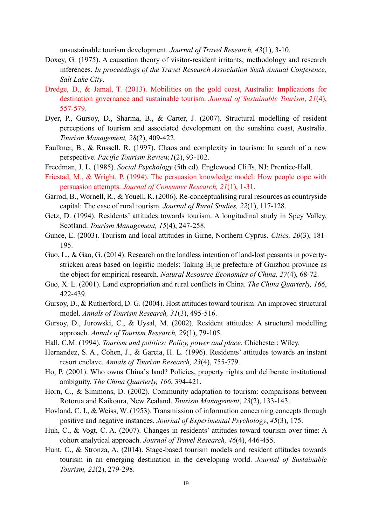unsustainable tourism development. *Journal of Travel Research, 43*(1), 3-10.

- Doxey, G. (1975). A causation theory of visitor-resident irritants; methodology and research inferences. *In proceedings of the Travel Research Association Sixth Annual Conference, Salt Lake City*.
- Dredge, D., & Jamal, T. (2013). Mobilities on the gold coast, Australia: Implications for destination governance and sustainable tourism. *Journal of Sustainable Tourism*, *21*(4), 557-579.
- Dyer, P., Gursoy, D., Sharma, B., & Carter, J. (2007). Structural modelling of resident perceptions of tourism and associated development on the sunshine coast, Australia. *Tourism Management, 28*(2), 409-422.
- Faulkner, B., & Russell, R. (1997). Chaos and complexity in tourism: In search of a new perspective. *Pacific Tourism Review,1*(2), 93-102.
- Freedman, J. L. (1985). *Social Psychology* (5th ed). Englewood Cliffs, NJ: Prentice-Hall.
- Friestad, M., & Wright, P. (1994). The persuasion knowledge model: How people cope with persuasion attempts. *Journal of Consumer Research, 21*(1), 1-31.
- Garrod, B., Wornell, R., & Youell, R. (2006). Re-conceptualising rural resources as countryside capital: The case of rural tourism. *Journal of Rural Studies, 22*(1), 117-128.
- Getz, D. (1994). Residents' attitudes towards tourism. A longitudinal study in Spey Valley, Scotland. *Tourism Management, 15*(4), 247-258.
- Gunce, E. (2003). Tourism and local attitudes in Girne, Northern Cyprus. *Cities, 20*(3), 181- 195.
- Guo, L., & Gao, G. (2014). Research on the landless intention of land-lost peasants in povertystricken areas based on logistic models: Taking Bijie prefecture of Guizhou province as the object for empirical research. *Natural Resource Economics of China, 27*(4), 68-72.
- Guo, X. L. (2001). Land expropriation and rural conflicts in China. *The China Quarterly, 166*, 422-439.
- Gursoy, D., & Rutherford, D. G. (2004). Host attitudes toward tourism: An improved structural model. *Annals of Tourism Research, 31*(3), 495-516.
- Gursoy, D., Jurowski, C., & Uysal, M. (2002). Resident attitudes: A structural modelling approach. *Annals of Tourism Research, 29*(1), 79-105.
- Hall, C.M. (1994). *Tourism and politics: Policy, power and place*. Chichester: Wiley.
- Hernandez, S. A., Cohen, J., & Garcia, H. L. (1996). Residents' attitudes towards an instant resort enclave. *Annals of Tourism Research, 23*(4), 755-779.
- Ho, P. (2001). Who owns China's land? Policies, property rights and deliberate institutional ambiguity. *The China Quarterly, 166*, 394-421.
- Horn, C., & Simmons, D. (2002). Community adaptation to tourism: comparisons between Rotorua and Kaikoura, New Zealand. *Tourism Management*, *23*(2), 133-143.
- Hovland, C. I., & Weiss, W. (1953). Transmission of information concerning concepts through positive and negative instances. *Journal of Experimental Psychology*, *45*(3), 175.
- Huh, C., & Vogt, C. A. (2007). Changes in residents' attitudes toward tourism over time: A cohort analytical approach. *Journal of Travel Research, 46*(4), 446-455.
- Hunt, C., & Stronza, A. (2014). Stage-based tourism models and resident attitudes towards tourism in an emerging destination in the developing world. *Journal of Sustainable Tourism, 22*(2), 279-298.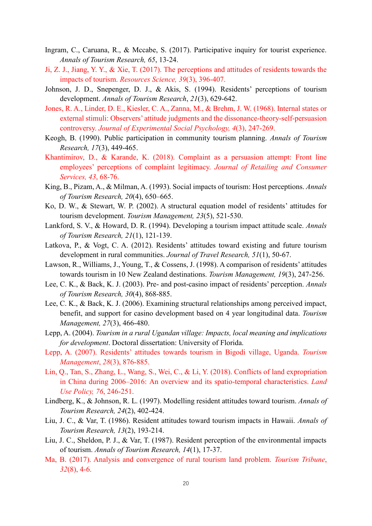- Ingram, C., Caruana, R., & Mccabe, S. (2017). Participative inquiry for tourist experience. *Annals of Tourism Research, 65*, 13-24.
- Ji, Z. J., Jiang, Y. Y., & Xie, T. (2017). The perceptions and attitudes of residents towards the impacts of tourism. *Resources Science, 39*(3), 396-407.
- Johnson, J. D., Snepenger, D. J., & Akis, S. (1994). Residents' perceptions of tourism development. *Annals of Tourism Research*, *21*(3), 629-642.
- Jones, R. A., Linder, D. E., Kiesler, C. A., Zanna, M., & Brehm, J. W. (1968). Internal states or external stimuli: Observers' attitude judgments and the dissonance-theory-self-persuasion controversy. *Journal of Experimental Social Psychology, 4*(3), 247-269.
- Keogh, B. (1990). Public participation in community tourism planning. *Annals of Tourism Research, 17*(3), 449-465.
- Khantimirov, D., & Karande, K. (2018). Complaint as a persuasion attempt: Front line employees' perceptions of complaint legitimacy. *Journal of Retailing and Consumer Services, 43*, 68-76.
- King, B., Pizam, A., & Milman, A. (1993). Social impacts of tourism: Host perceptions. *Annals of Tourism Research, 20*(4), 650–665.
- Ko, D. W., & Stewart, W. P. (2002). A structural equation model of residents' attitudes for tourism development. *Tourism Management, 23*(5), 521-530.
- Lankford, S. V., & Howard, D. R. (1994). Developing a tourism impact attitude scale. *Annals of Tourism Research, 21*(1), 121-139.
- Latkova, P., & Vogt, C. A. (2012). Residents' attitudes toward existing and future tourism development in rural communities. *Journal of Travel Research, 51*(1), 50-67.
- Lawson, R., Williams, J., Young, T., & Cossens, J. (1998). A comparison of residents' attitudes towards tourism in 10 New Zealand destinations. *Tourism Management, 19*(3), 247-256.
- Lee, C. K., & Back, K. J. (2003). Pre- and post-casino impact of residents' perception. *Annals of Tourism Research, 30*(4), 868-885.
- Lee, C. K., & Back, K. J. (2006). Examining structural relationships among perceived impact, benefit, and support for casino development based on 4 year longitudinal data. *Tourism Management, 27*(3), 466-480.
- Lepp, A. (2004). *Tourism in a rural Ugandan village: Impacts, local meaning and implications for development*. Doctoral dissertation: University of Florida.
- Lepp, A. (2007). Residents' attitudes towards tourism in Bigodi village, Uganda. *Tourism Management*, *28*(3), 876-885.
- Lin, Q., Tan, S., Zhang, L., Wang, S., Wei, C., & Li, Y. (2018). Conflicts of land expropriation in China during 2006–2016: An overview and its spatio-temporal characteristics. *Land Use Policy, 76*, 246-251.
- Lindberg, K., & Johnson, R. L. (1997). Modelling resident attitudes toward tourism. *Annals of Tourism Research, 24*(2), 402-424.
- Liu, J. C., & Var, T. (1986). Resident attitudes toward tourism impacts in Hawaii. *Annals of Tourism Research, 13*(2), 193-214.
- Liu, J. C., Sheldon, P. J., & Var, T. (1987). Resident perception of the environmental impacts of tourism. *Annals of Tourism Research, 14*(1), 17-37.
- Ma, B. (2017). Analysis and convergence of rural tourism land problem. *Tourism Tribune*, *32*(8), 4-6.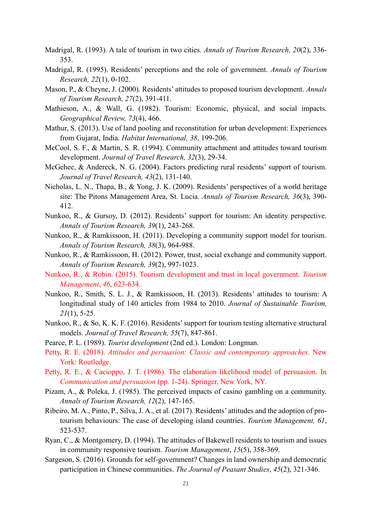- Madrigal, R. (1993). A tale of tourism in two cities. *Annals of Tourism Research, 20*(2), 336- 353.
- Madrigal, R. (1995). Residents' perceptions and the role of government. *Annals of Tourism Research, 22*(1), 0-102.
- Mason, P., & Cheyne, J. (2000). Residents' attitudes to proposed tourism development. *Annals of Tourism Research, 27*(2), 391-411.
- Mathieson, A., & Wall, G. (1982). Tourism: Economic, physical, and social impacts. *Geographical Review, 73*(4), 466.
- Mathur, S. (2013). Use of land pooling and reconstitution for urban development: Experiences from Gujarat, India. *Habitat International, 38*, 199-206.
- McCool, S. F., & Martin, S. R. (1994). Community attachment and attitudes toward tourism development. *Journal of Travel Research, 32*(3), 29-34.
- McGehee, & Andereck, N. G. (2004). Factors predicting rural residents' support of tourism. *Journal of Travel Research, 43*(2), 131-140.
- Nicholas, L. N., Thapa, B., & Yong, J. K. (2009). Residents' perspectives of a world heritage site: The Pitons Management Area, St. Lucia. *Annals of Tourism Research, 36*(3), 390- 412.
- Nunkoo, R., & Gursoy, D. (2012). Residents' support for tourism: An identity perspective. *Annals of Tourism Research, 39*(1), 243-268.
- Nunkoo, R., & Ramkissoon, H. (2011). Developing a community support model for tourism. *Annals of Tourism Research, 38*(3), 964-988.
- Nunkoo, R., & Ramkissoon, H. (2012). Power, trust, social exchange and community support. *Annals of Tourism Research, 39*(2), 997-1023.
- Nunkoo, R., & Robin. (2015). Tourism development and trust in local government. *Tourism Management*, *46*, 623-634.
- Nunkoo, R., Smith, S. L. J., & Ramkissoon, H. (2013). Residents' attitudes to tourism: A longitudinal study of 140 articles from 1984 to 2010. *Journal of Sustainable Tourism, 21*(1), 5-25.
- Nunkoo, R., & So, K. K. F. (2016). Residents' support for tourism testing alternative structural models. *Journal of Travel Research, 55*(7), 847-861.
- Pearce, P. L. (1989). *Tourist development* (2nd ed.). London: Longman.
- Petty, R. E. (2018). *Attitudes and persuasion: Classic and contemporary approaches*. New York: Routledge.
- Petty, R. E., & Cacioppo, J. T. (1986). The elaboration likelihood model of persuasion. In *Communication and persuasion* (pp. 1-24). Springer, New York, NY.
- Pizam, A., & Poleka, J. (1985). The perceived impacts of casino gambling on a community. *Annals of Tourism Research, 12*(2), 147-165.
- Ribeiro, M. A., Pinto, P., Silva, J. A., et al. (2017). Residents' attitudes and the adoption of protourism behaviours: The case of developing island countries. *Tourism Management, 61*, 523-537.
- Ryan, C., & Montgomery, D. (1994). The attitudes of Bakewell residents to tourism and issues in community responsive tourism. *Tourism Management*, *15*(5), 358-369.
- Sargeson, S. (2016). Grounds for self-government? Changes in land ownership and democratic participation in Chinese communities. *The Journal of Peasant Studies*, *45*(2), 321-346.